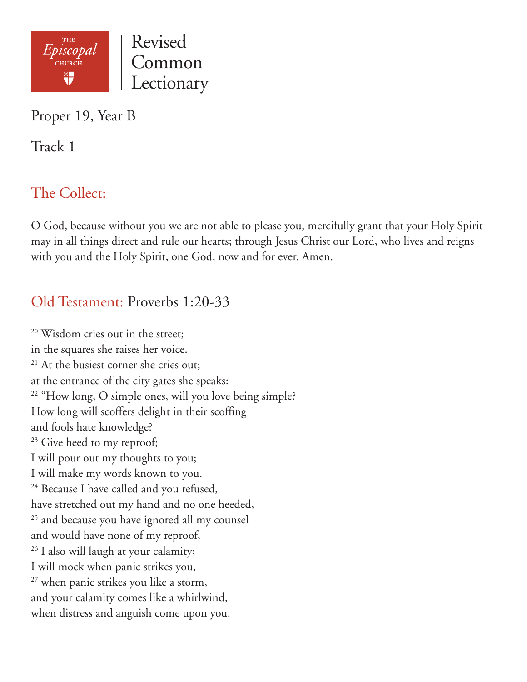

Proper 19, Year B

Track 1

# The Collect:

O God, because without you we are not able to please you, mercifully grant that your Holy Spirit may in all things direct and rule our hearts; through Jesus Christ our Lord, who lives and reigns with you and the Holy Spirit, one God, now and for ever. Amen.

### Old Testament: Proverbs 1:20-33

<sup>20</sup> Wisdom cries out in the street; in the squares she raises her voice. <sup>21</sup> At the busiest corner she cries out; at the entrance of the city gates she speaks: <sup>22</sup> "How long, O simple ones, will you love being simple? How long will scoffers delight in their scoffing and fools hate knowledge?  $23$  Give heed to my reproof; I will pour out my thoughts to you; I will make my words known to you.  $24$  Because I have called and you refused, have stretched out my hand and no one heeded, <sup>25</sup> and because you have ignored all my counsel and would have none of my reproof, <sup>26</sup> I also will laugh at your calamity; I will mock when panic strikes you, <sup>27</sup> when panic strikes you like a storm, and your calamity comes like a whirlwind, when distress and anguish come upon you.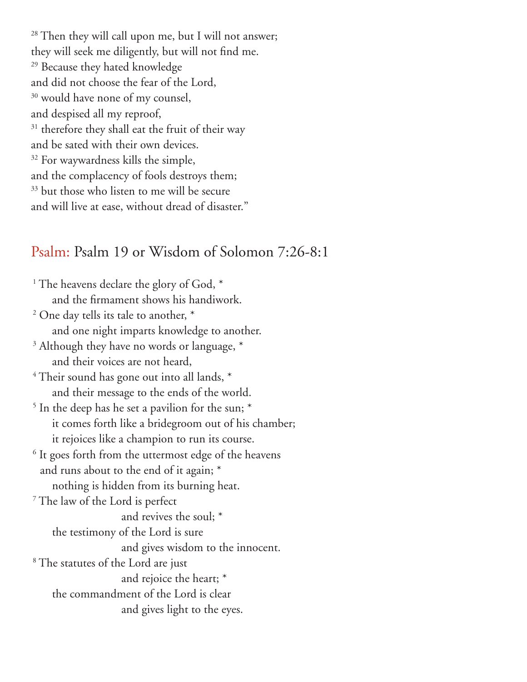<sup>28</sup> Then they will call upon me, but I will not answer; they will seek me diligently, but will not find me. <sup>29</sup> Because they hated knowledge and did not choose the fear of the Lord, <sup>30</sup> would have none of my counsel, and despised all my reproof, <sup>31</sup> therefore they shall eat the fruit of their way and be sated with their own devices. <sup>32</sup> For waywardness kills the simple, and the complacency of fools destroys them; <sup>33</sup> but those who listen to me will be secure and will live at ease, without dread of disaster."

### Psalm: Psalm 19 or Wisdom of Solomon 7:26-8:1

<sup>1</sup> The heavens declare the glory of God,  $*$  and the firmament shows his handiwork. <sup>2</sup> One day tells its tale to another,  $*$  and one night imparts knowledge to another. <sup>3</sup> Although they have no words or language,  $*$  and their voices are not heard,  $4$  Their sound has gone out into all lands,  $*$  and their message to the ends of the world. <sup>5</sup> In the deep has he set a pavilion for the sun;  $*$  it comes forth like a bridegroom out of his chamber; it rejoices like a champion to run its course. <sup>6</sup> It goes forth from the uttermost edge of the heavens and runs about to the end of it again; \* nothing is hidden from its burning heat. 7 The law of the Lord is perfect and revives the soul; \* the testimony of the Lord is sure and gives wisdom to the innocent. 8 The statutes of the Lord are just and rejoice the heart; \* the commandment of the Lord is clear and gives light to the eyes.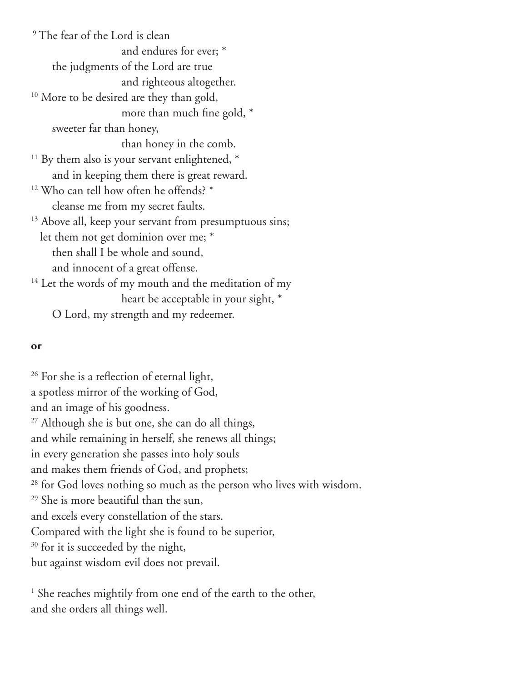<sup>9</sup> The fear of the Lord is clean and endures for ever; \* the judgments of the Lord are true and righteous altogether. <sup>10</sup> More to be desired are they than gold, more than much fine gold, \* sweeter far than honey, than honey in the comb.  $11$  By them also is your servant enlightened,  $*$  and in keeping them there is great reward. <sup>12</sup> Who can tell how often he offends? \* cleanse me from my secret faults. <sup>13</sup> Above all, keep your servant from presumptuous sins; let them not get dominion over me; \* then shall I be whole and sound, and innocent of a great offense. <sup>14</sup> Let the words of my mouth and the meditation of my heart be acceptable in your sight, \* O Lord, my strength and my redeemer.

#### **or**

<sup>26</sup> For she is a reflection of eternal light, a spotless mirror of the working of God, and an image of his goodness. <sup>27</sup> Although she is but one, she can do all things, and while remaining in herself, she renews all things; in every generation she passes into holy souls and makes them friends of God, and prophets; <sup>28</sup> for God loves nothing so much as the person who lives with wisdom. <sup>29</sup> She is more beautiful than the sun, and excels every constellation of the stars. Compared with the light she is found to be superior, <sup>30</sup> for it is succeeded by the night, but against wisdom evil does not prevail.

<sup>1</sup> She reaches mightily from one end of the earth to the other, and she orders all things well.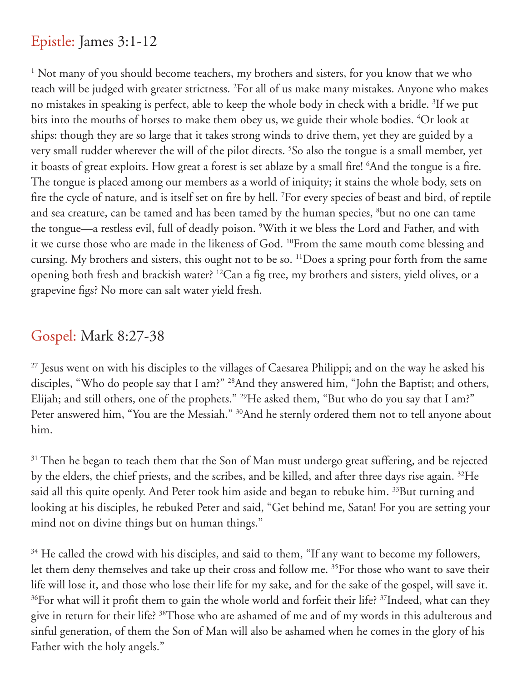## Epistle: James 3:1-12

<sup>1</sup> Not many of you should become teachers, my brothers and sisters, for you know that we who teach will be judged with greater strictness. <sup>2</sup>For all of us make many mistakes. Anyone who makes no mistakes in speaking is perfect, able to keep the whole body in check with a bridle. <sup>3</sup>If we put bits into the mouths of horses to make them obey us, we guide their whole bodies. 4 Or look at ships: though they are so large that it takes strong winds to drive them, yet they are guided by a very small rudder wherever the will of the pilot directs. <sup>5</sup>So also the tongue is a small member, yet it boasts of great exploits. How great a forest is set ablaze by a small fire! 6 And the tongue is a fire. The tongue is placed among our members as a world of iniquity; it stains the whole body, sets on fire the cycle of nature, and is itself set on fire by hell. <sup>7</sup>For every species of beast and bird, of reptile and sea creature, can be tamed and has been tamed by the human species, <sup>8</sup>but no one can tame the tongue—a restless evil, full of deadly poison. <sup>9</sup>With it we bless the Lord and Father, and with it we curse those who are made in the likeness of God. 10From the same mouth come blessing and cursing. My brothers and sisters, this ought not to be so. <sup>11</sup>Does a spring pour forth from the same opening both fresh and brackish water? 12Can a fig tree, my brothers and sisters, yield olives, or a grapevine figs? No more can salt water yield fresh.

### Gospel: Mark 8:27-38

<sup>27</sup> Jesus went on with his disciples to the villages of Caesarea Philippi; and on the way he asked his disciples, "Who do people say that I am?" <sup>28</sup>And they answered him, "John the Baptist; and others, Elijah; and still others, one of the prophets." <sup>29</sup>He asked them, "But who do you say that I am?" Peter answered him, "You are the Messiah." <sup>30</sup>And he sternly ordered them not to tell anyone about him.

<sup>31</sup> Then he began to teach them that the Son of Man must undergo great suffering, and be rejected by the elders, the chief priests, and the scribes, and be killed, and after three days rise again. 32He said all this quite openly. And Peter took him aside and began to rebuke him. <sup>33</sup>But turning and looking at his disciples, he rebuked Peter and said, "Get behind me, Satan! For you are setting your mind not on divine things but on human things."

 $34$  He called the crowd with his disciples, and said to them, "If any want to become my followers, let them deny themselves and take up their cross and follow me. 35For those who want to save their life will lose it, and those who lose their life for my sake, and for the sake of the gospel, will save it.  $36$  For what will it profit them to gain the whole world and forfeit their life?  $37$ Indeed, what can they give in return for their life? 38Those who are ashamed of me and of my words in this adulterous and sinful generation, of them the Son of Man will also be ashamed when he comes in the glory of his Father with the holy angels."